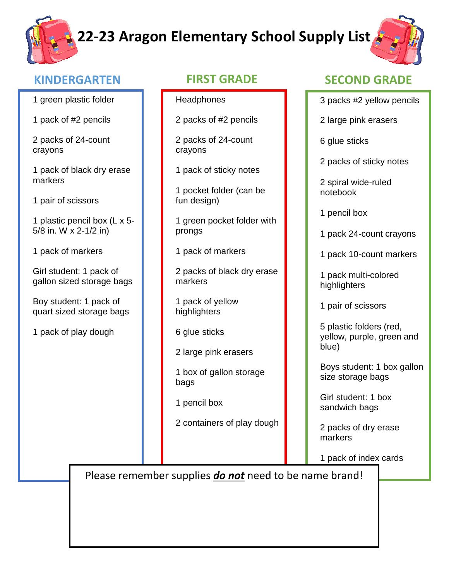## **22-23 Aragon Elementary School Supply List**



### **KINDERGARTEN FIRST GRADE SECOND GRADE**

|  |  | 1 green plastic folder |  |
|--|--|------------------------|--|
|--|--|------------------------|--|

1 pack of #2 pencils

2 packs of 24-count crayons

1 pack of black dry erase markers

1 pair of scissors

1 plastic pencil box (L x 5- 5/8 in. W x 2-1/2 in)

1 pack of markers

Girl student: 1 pack of gallon sized storage bags

Boy student: 1 pack of quart sized storage bags

1 pack of play dough

- **Headphones**
- 2 packs of #2 pencils

2 packs of 24-count crayons

1 pack of sticky notes

1 pocket folder (can be fun design)

1 green pocket folder with prongs

1 pack of markers

2 packs of black dry erase markers

1 pack of yellow highlighters

6 glue sticks

2 large pink erasers

1 box of gallon storage bags

1 pencil box

2 containers of play dough

- 3 packs #2 yellow pencils
- 2 large pink erasers

6 glue sticks

2 packs of sticky notes

2 spiral wide-ruled notebook

1 pencil box

- 1 pack 24-count crayons
- 1 pack 10-count markers

1 pack multi-colored highlighters

1 pair of scissors

5 plastic folders (red, yellow, purple, green and blue)

Boys student: 1 box gallon size storage bags

Girl student: 1 box sandwich bags

2 packs of dry erase markers

1 pack of index cards

Please remember supplies *do not* need to be name brand!